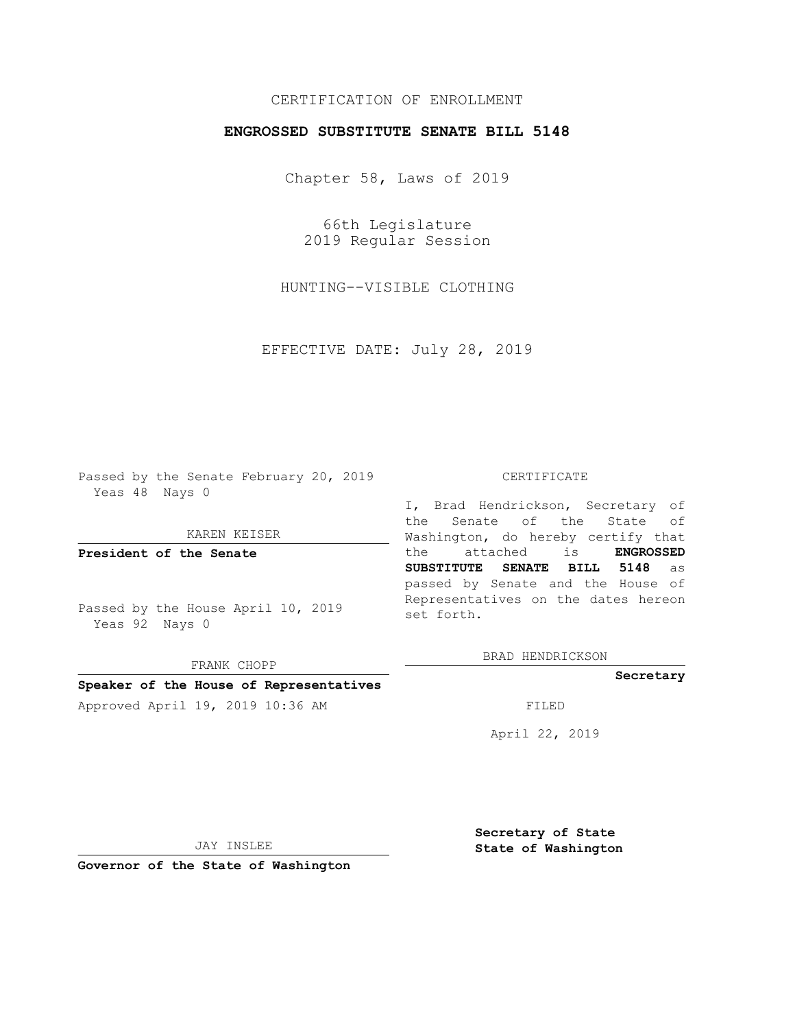## CERTIFICATION OF ENROLLMENT

### **ENGROSSED SUBSTITUTE SENATE BILL 5148**

Chapter 58, Laws of 2019

66th Legislature 2019 Regular Session

HUNTING--VISIBLE CLOTHING

EFFECTIVE DATE: July 28, 2019

Passed by the Senate February 20, 2019 Yeas 48 Nays 0

KAREN KEISER

**President of the Senate**

Passed by the House April 10, 2019 Yeas 92 Nays 0

FRANK CHOPP

### **Speaker of the House of Representatives**

Approved April 19, 2019 10:36 AM FILED

#### CERTIFICATE

I, Brad Hendrickson, Secretary of the Senate of the State of Washington, do hereby certify that the attached is **ENGROSSED SUBSTITUTE SENATE BILL 5148** as passed by Senate and the House of Representatives on the dates hereon set forth.

BRAD HENDRICKSON

#### **Secretary**

April 22, 2019

JAY INSLEE

**Governor of the State of Washington**

**Secretary of State State of Washington**